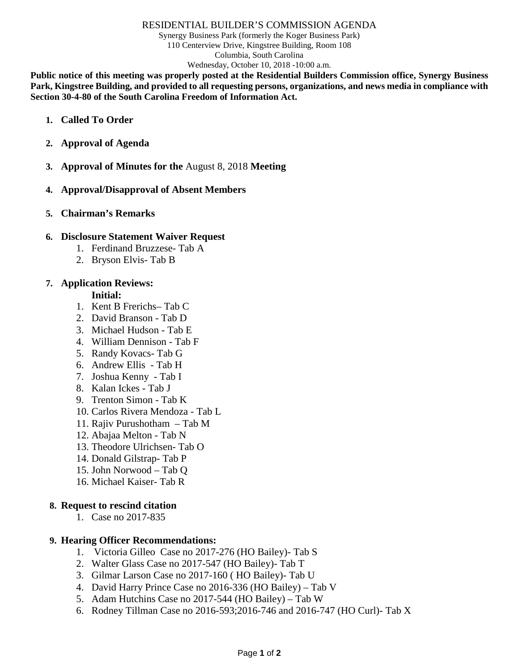#### RESIDENTIAL BUILDER'S COMMISSION AGENDA

Synergy Business Park (formerly the Koger Business Park) 110 Centerview Drive, Kingstree Building, Room 108 Columbia, South Carolina Wednesday, October 10, 2018 -10:00 a.m.

**Public notice of this meeting was properly posted at the Residential Builders Commission office, Synergy Business Park, Kingstree Building, and provided to all requesting persons, organizations, and news media in compliance with Section 30-4-80 of the South Carolina Freedom of Information Act.**

- **1. Called To Order**
- **2. Approval of Agenda**
- **3. Approval of Minutes for the** August 8, 2018 **Meeting**
- **4. Approval/Disapproval of Absent Members**
- **5. Chairman's Remarks**

## **6. Disclosure Statement Waiver Request**

- 1. Ferdinand Bruzzese- Tab A
- 2. Bryson Elvis- Tab B

## **7. Application Reviews:**

## **Initial:**

- 1. Kent B Frerichs– Tab C
- 2. David Branson Tab D
- 3. Michael Hudson Tab E
- 4. William Dennison Tab F
- 5. Randy Kovacs- Tab G
- 6. Andrew Ellis Tab H
- 7. Joshua Kenny Tab I
- 8. Kalan Ickes Tab J
- 9. Trenton Simon Tab K
- 10. Carlos Rivera Mendoza Tab L
- 11. Rajiv Purushotham Tab M
- 12. Abajaa Melton Tab N
- 13. Theodore Ulrichsen- Tab O
- 14. Donald Gilstrap- Tab P
- 15. John Norwood Tab Q
- 16. Michael Kaiser- Tab R

# **8. Request to rescind citation**

1. Case no 2017-835

### **9. Hearing Officer Recommendations:**

- 1. Victoria Gilleo Case no 2017-276 (HO Bailey)- Tab S
- 2. Walter Glass Case no 2017-547 (HO Bailey)- Tab T
- 3. Gilmar Larson Case no 2017-160 ( HO Bailey)- Tab U
- 4. David Harry Prince Case no 2016-336 (HO Bailey) Tab V
- 5. Adam Hutchins Case no 2017-544 (HO Bailey) Tab W
- 6. Rodney Tillman Case no 2016-593;2016-746 and 2016-747 (HO Curl)- Tab X